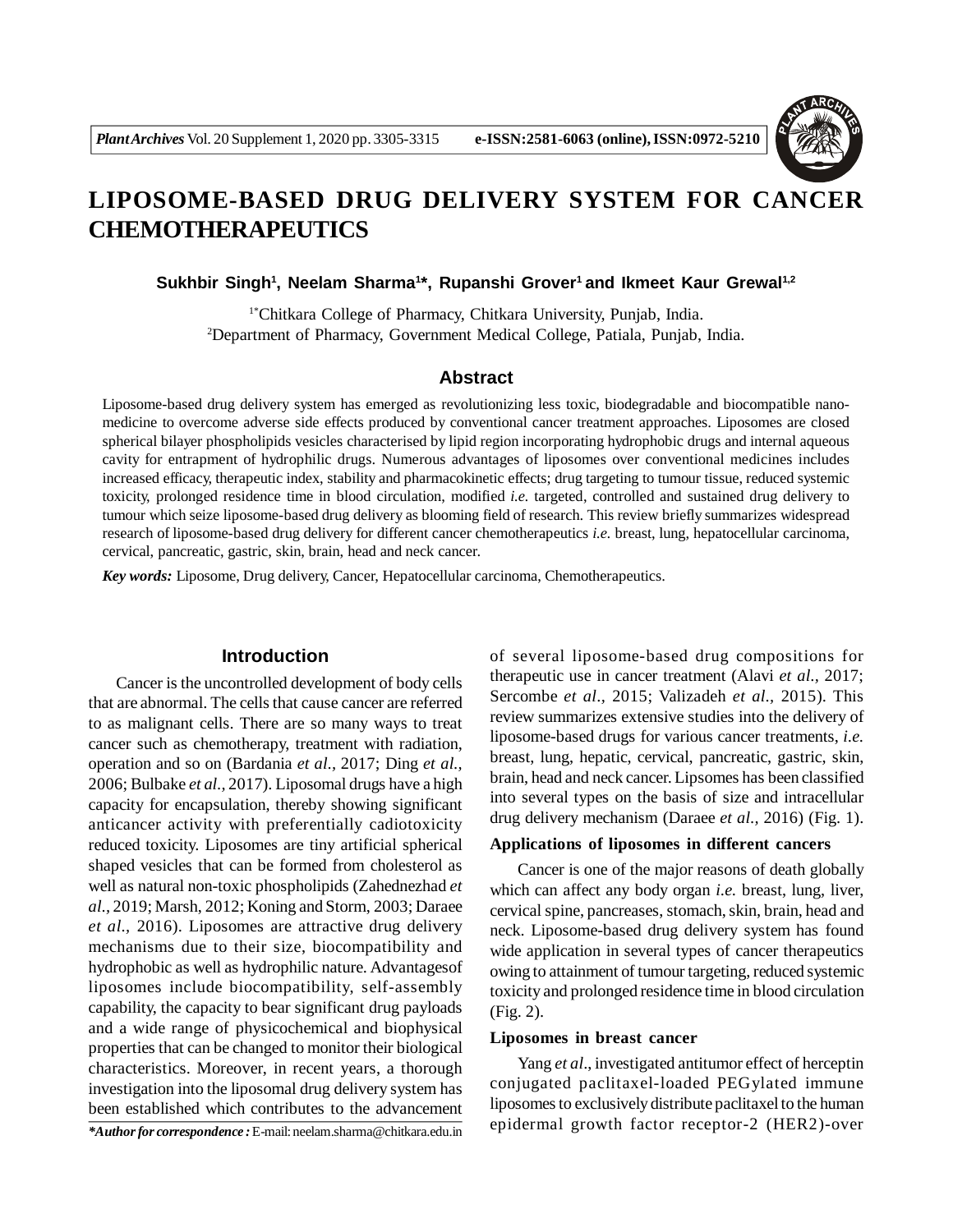

# **LIPOSOME-BASED DRUG DELIVERY SYSTEM FOR CANCER CHEMOTHERAPEUTICS**

**Sukhbir Singh<sup>1</sup> , Neelam Sharma<sup>1</sup> \*, Rupanshi Grover<sup>1</sup>and Ikmeet Kaur Grewal1,2**

1\*Chitkara College of Pharmacy, Chitkara University, Punjab, India. <sup>2</sup>Department of Pharmacy, Government Medical College, Patiala, Punjab, India.

## **Abstract**

Liposome-based drug delivery system has emerged as revolutionizing less toxic, biodegradable and biocompatible nanomedicine to overcome adverse side effects produced by conventional cancer treatment approaches. Liposomes are closed spherical bilayer phospholipids vesicles characterised by lipid region incorporating hydrophobic drugs and internal aqueous cavity for entrapment of hydrophilic drugs. Numerous advantages of liposomes over conventional medicines includes increased efficacy, therapeutic index, stability and pharmacokinetic effects; drug targeting to tumour tissue, reduced systemic toxicity, prolonged residence time in blood circulation, modified *i.e.* targeted, controlled and sustained drug delivery to tumour which seize liposome-based drug delivery as blooming field of research. This review briefly summarizes widespread research of liposome-based drug delivery for different cancer chemotherapeutics *i.e.* breast, lung, hepatocellular carcinoma, cervical, pancreatic, gastric, skin, brain, head and neck cancer.

*Key words:* Liposome, Drug delivery, Cancer, Hepatocellular carcinoma, Chemotherapeutics.

#### **Introduction**

Cancer is the uncontrolled development of body cells that are abnormal. The cells that cause cancer are referred to as malignant cells. There are so many ways to treat cancer such as chemotherapy, treatment with radiation, operation and so on (Bardania *et al.,* 2017; Ding *et al.,* 2006; Bulbake *et al.,* 2017). Liposomal drugs have a high capacity for encapsulation, thereby showing significant anticancer activity with preferentially cadiotoxicity reduced toxicity. Liposomes are tiny artificial spherical shaped vesicles that can be formed from cholesterol as well as natural non-toxic phospholipids (Zahednezhad *et al.,* 2019; Marsh, 2012; Koning and Storm, 2003; Daraee *et al.,* 2016). Liposomes are attractive drug delivery mechanisms due to their size, biocompatibility and hydrophobic as well as hydrophilic nature. Advantagesof liposomes include biocompatibility, self-assembly capability, the capacity to bear significant drug payloads and a wide range of physicochemical and biophysical properties that can be changed to monitor their biological characteristics. Moreover, in recent years, a thorough investigation into the liposomal drug delivery system has been established which contributes to the advancement

*\*Author for correspondence :* E-mail: neelam.sharma@chitkara.edu.in

of several liposome-based drug compositions for therapeutic use in cancer treatment (Alavi *et al.,* 2017; Sercombe *et al.,* 2015; Valizadeh *et al.,* 2015). This review summarizes extensive studies into the delivery of liposome-based drugs for various cancer treatments, *i.e.* breast, lung, hepatic, cervical, pancreatic, gastric, skin, brain, head and neck cancer. Lipsomes has been classified into several types on the basis of size and intracellular drug delivery mechanism (Daraee *et al.,* 2016) (Fig. 1).

#### **Applications of liposomes in different cancers**

Cancer is one of the major reasons of death globally which can affect any body organ *i.e.* breast, lung, liver, cervical spine, pancreases, stomach, skin, brain, head and neck. Liposome-based drug delivery system has found wide application in several types of cancer therapeutics owing to attainment of tumour targeting, reduced systemic toxicity and prolonged residence time in blood circulation (Fig. 2).

#### **Liposomes in breast cancer**

Yang *et al*., investigated antitumor effect of herceptin conjugated paclitaxel-loaded PEGylated immune liposomes to exclusively distribute paclitaxel to the human epidermal growth factor receptor-2 (HER2)-over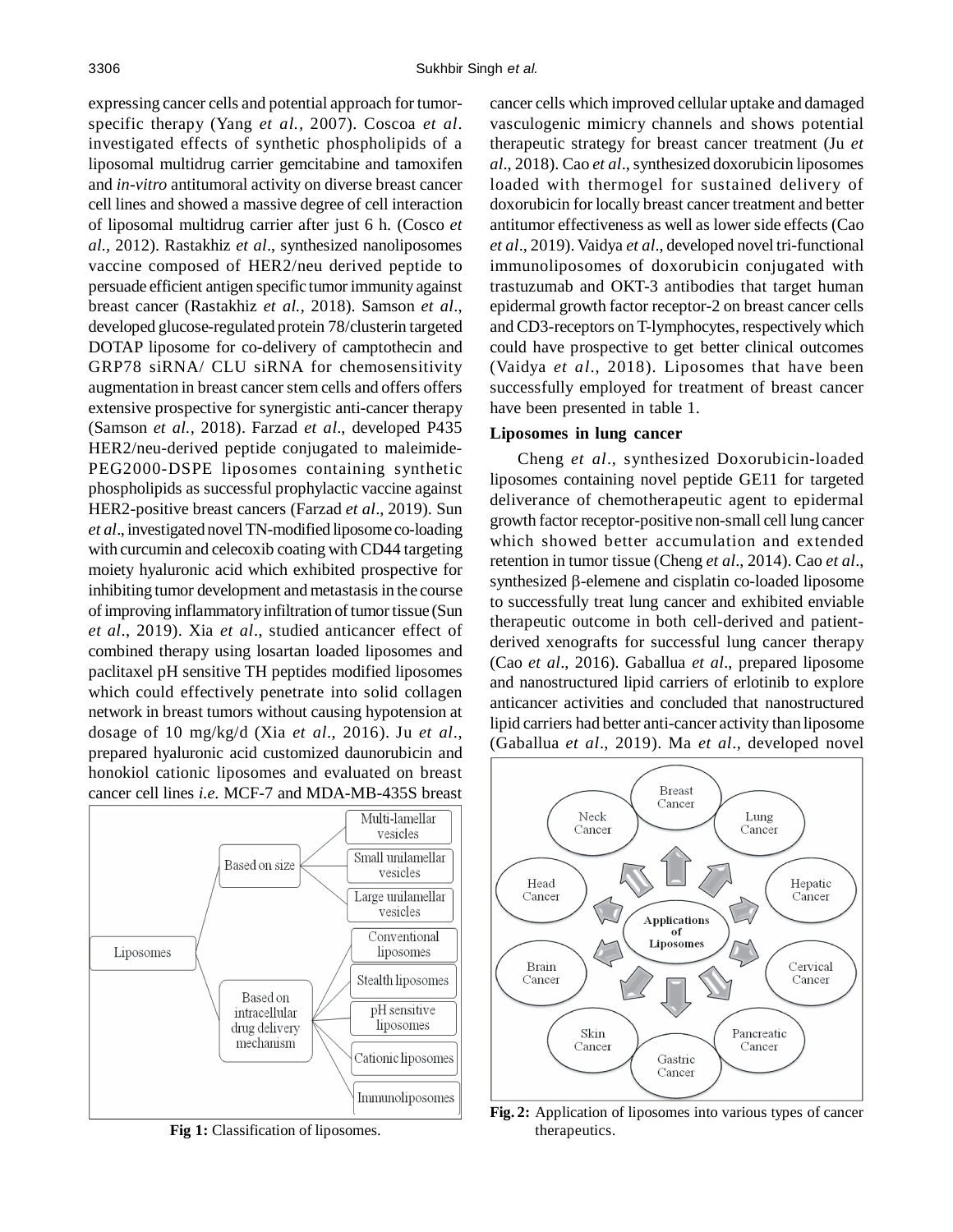expressing cancer cells and potential approach for tumorspecific therapy (Yang *et al.,* 2007). Coscoa *et al*. investigated effects of synthetic phospholipids of a liposomal multidrug carrier gemcitabine and tamoxifen and *in-vitro* antitumoral activity on diverse breast cancer cell lines and showed a massive degree of cell interaction of liposomal multidrug carrier after just 6 h. (Cosco *et al.,* 2012). Rastakhiz *et al*., synthesized nanoliposomes vaccine composed of HER2/neu derived peptide to persuade efficient antigen specific tumor immunity against breast cancer (Rastakhiz *et al.,* 2018). Samson *et al*., developed glucose-regulated protein 78/clusterin targeted DOTAP liposome for co-delivery of camptothecin and GRP78 siRNA/ CLU siRNA for chemosensitivity augmentation in breast cancer stem cells and offers offers extensive prospective for synergistic anti-cancer therapy (Samson *et al.,* 2018). Farzad *et al*., developed P435 HER2/neu-derived peptide conjugated to maleimide-PEG2000-DSPE liposomes containing synthetic phospholipids as successful prophylactic vaccine against HER2-positive breast cancers (Farzad *et al*., 2019). Sun *et al*., investigated novel TN-modified liposome co-loading with curcumin and celecoxib coating with CD44 targeting moiety hyaluronic acid which exhibited prospective for inhibiting tumor development and metastasis in the course of improving inflammatory infiltration of tumor tissue (Sun *et al*., 2019). Xia *et al*., studied anticancer effect of combined therapy using losartan loaded liposomes and paclitaxel pH sensitive TH peptides modified liposomes which could effectively penetrate into solid collagen network in breast tumors without causing hypotension at dosage of 10 mg/kg/d (Xia *et al*., 2016). Ju *et al*., prepared hyaluronic acid customized daunorubicin and honokiol cationic liposomes and evaluated on breast cancer cell lines *i.e.* MCF-7 and MDA-MB-435S breast



Fig 1: Classification of liposomes.

cancer cells which improved cellular uptake and damaged vasculogenic mimicry channels and shows potential therapeutic strategy for breast cancer treatment (Ju *et al*., 2018). Cao *et al*., synthesized doxorubicin liposomes loaded with thermogel for sustained delivery of doxorubicin for locally breast cancer treatment and better antitumor effectiveness as well as lower side effects (Cao *et al*., 2019). Vaidya *et al*., developed novel tri-functional immunoliposomes of doxorubicin conjugated with trastuzumab and OKT-3 antibodies that target human epidermal growth factor receptor-2 on breast cancer cells and CD3-receptors on T-lymphocytes, respectively which could have prospective to get better clinical outcomes (Vaidya *et al*., 2018). Liposomes that have been successfully employed for treatment of breast cancer have been presented in table 1.

#### **Liposomes in lung cancer**

Cheng *et al*., synthesized Doxorubicin-loaded liposomes containing novel peptide GE11 for targeted deliverance of chemotherapeutic agent to epidermal growth factor receptor-positive non-small cell lung cancer which showed better accumulation and extended retention in tumor tissue (Cheng *et al*., 2014). Cao *et al*., synthesized  $\beta$ -elemene and cisplatin co-loaded liposome to successfully treat lung cancer and exhibited enviable therapeutic outcome in both cell-derived and patientderived xenografts for successful lung cancer therapy (Cao *et al*., 2016). Gaballua *et al*., prepared liposome and nanostructured lipid carriers of erlotinib to explore anticancer activities and concluded that nanostructured lipid carriers had better anti-cancer activity than liposome (Gaballua *et al*., 2019). Ma *et al*., developed novel



**Fig. 2:** Application of liposomes into various types of cancer therapeutics.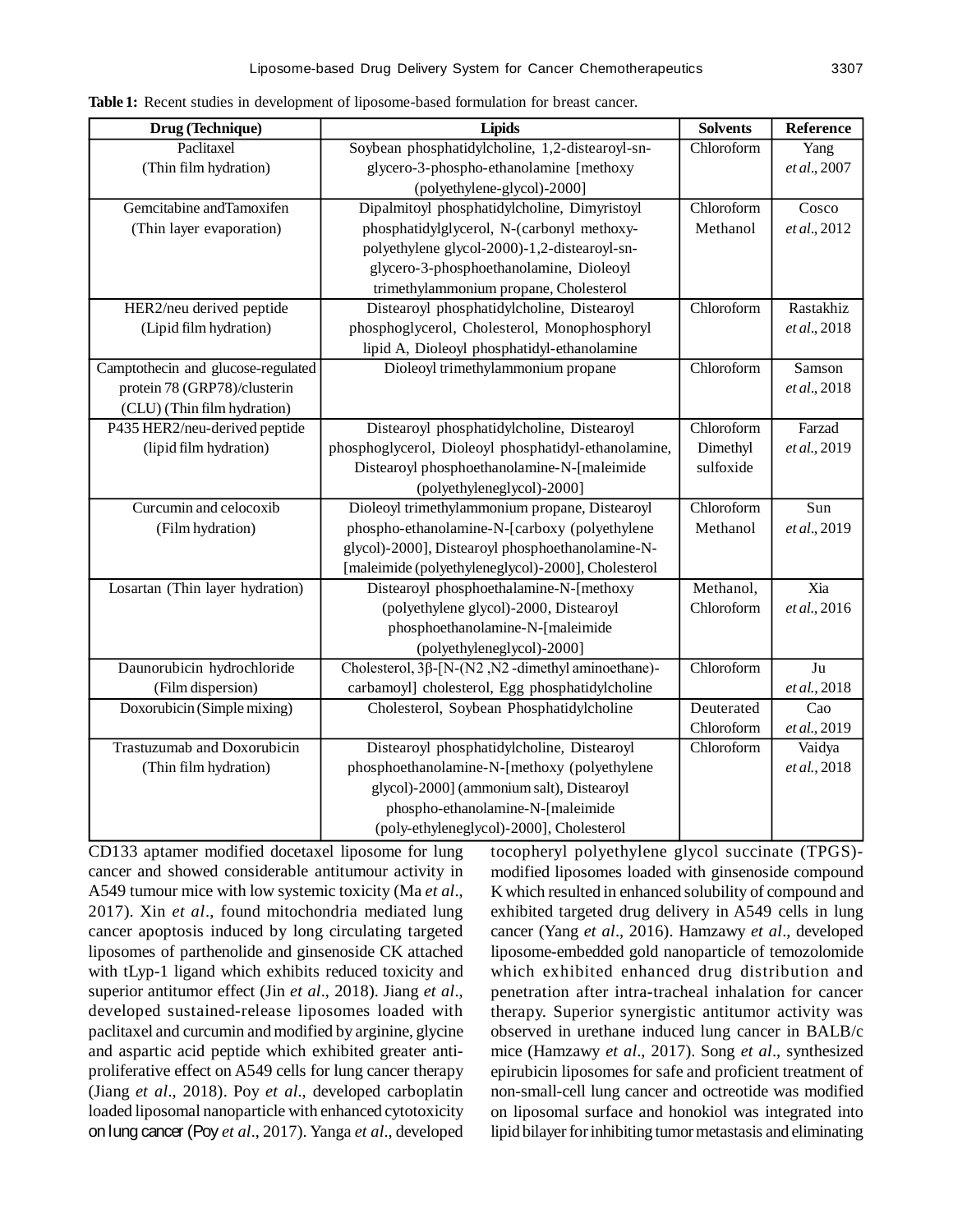| Drug (Technique)                   | <b>Lipids</b>                                            | <b>Solvents</b> | Reference        |
|------------------------------------|----------------------------------------------------------|-----------------|------------------|
| Paclitaxel                         | Soybean phosphatidylcholine, 1,2-distearoyl-sn-          | Chloroform      | Yang             |
| (Thin film hydration)              | glycero-3-phospho-ethanolamine [methoxy                  |                 | et al., 2007     |
|                                    | (polyethylene-glycol)-2000]                              |                 |                  |
| Gemcitabine and Tamoxifen          | Dipalmitoyl phosphatidylcholine, Dimyristoyl             | Chloroform      | Cosco            |
| (Thin layer evaporation)           | phosphatidylglycerol, N-(carbonyl methoxy-               | Methanol        | et al., 2012     |
|                                    | polyethylene glycol-2000)-1,2-distearoyl-sn-             |                 |                  |
|                                    | glycero-3-phosphoethanolamine, Dioleoyl                  |                 |                  |
|                                    | trimethylammonium propane, Cholesterol                   |                 |                  |
| HER2/neu derived peptide           | Distearoyl phosphatidylcholine, Distearoyl               | Chloroform      | Rastakhiz        |
| (Lipid film hydration)             | phosphoglycerol, Cholesterol, Monophosphoryl             |                 | et al., 2018     |
|                                    | lipid A, Dioleoyl phosphatidyl-ethanolamine              |                 |                  |
| Camptothecin and glucose-regulated | Dioleoyl trimethylammonium propane                       | Chloroform      | Samson           |
| protein 78 (GRP78)/clusterin       |                                                          |                 | et al., 2018     |
| (CLU) (Thin film hydration)        |                                                          |                 |                  |
| P435 HER2/neu-derived peptide      | Distearoyl phosphatidylcholine, Distearoyl               | Chloroform      | Farzad           |
| (lipid film hydration)             | phosphoglycerol, Dioleoyl phosphatidyl-ethanolamine,     | Dimethyl        | et al., 2019     |
|                                    | Distearoyl phosphoethanolamine-N-[maleimide              | sulfoxide       |                  |
|                                    | (polyethyleneglycol)-2000]                               |                 |                  |
| Curcumin and celocoxib             | Dioleoyl trimethylammonium propane, Distearoyl           | Chloroform      | Sun              |
| (Film hydration)                   | phospho-ethanolamine-N-[carboxy (polyethylene            | Methanol        | et al., 2019     |
|                                    | glycol)-2000], Distearoyl phosphoethanolamine-N-         |                 |                  |
|                                    | [maleimide (polyethyleneglycol)-2000], Cholesterol       |                 |                  |
| Losartan (Thin layer hydration)    | Distearoyl phosphoethalamine-N-[methoxy                  | Methanol,       | Xia              |
|                                    | (polyethylene glycol)-2000, Distearoyl                   | Chloroform      | et al., 2016     |
|                                    | phosphoethanolamine-N-[maleimide                         |                 |                  |
|                                    | (polyethyleneglycol)-2000]                               |                 |                  |
| Daunorubicin hydrochloride         | Cholesterol, $3\beta$ -[N-(N2, N2-dimethyl aminoethane)- | Chloroform      | $\overline{Ju}$  |
| (Film dispersion)                  | carbamoyl] cholesterol, Egg phosphatidylcholine          |                 | et al., 2018     |
| Doxorubicin (Simple mixing)        | Cholesterol, Soybean Phosphatidylcholine                 | Deuterated      | $\overline{Cao}$ |
|                                    |                                                          | Chloroform      | et al., 2019     |
| <b>Trastuzumab and Doxorubicin</b> | Distearoyl phosphatidylcholine, Distearoyl               | Chloroform      | Vaidya           |
| (Thin film hydration)              | phosphoethanolamine-N-[methoxy (polyethylene             |                 | et al., 2018     |
|                                    | glycol)-2000] (ammonium salt), Distearoyl                |                 |                  |
|                                    | phospho-ethanolamine-N-[maleimide                        |                 |                  |
|                                    | (poly-ethyleneglycol)-2000], Cholesterol                 |                 |                  |

**Table 1:** Recent studies in development of liposome-based formulation for breast cancer.

CD133 aptamer modified docetaxel liposome for lung cancer and showed considerable antitumour activity in A549 tumour mice with low systemic toxicity (Ma *et al*., 2017). Xin *et al*., found mitochondria mediated lung cancer apoptosis induced by long circulating targeted liposomes of parthenolide and ginsenoside CK attached with tLyp-1 ligand which exhibits reduced toxicity and superior antitumor effect (Jin *et al*., 2018). Jiang *et al*., developed sustained-release liposomes loaded with paclitaxel and curcumin and modified by arginine, glycine and aspartic acid peptide which exhibited greater antiproliferative effect on A549 cells for lung cancer therapy (Jiang *et al*., 2018). Poy *et al*., developed carboplatin loaded liposomal nanoparticle with enhanced cytotoxicity on lung cancer (Poy *et al*., 2017). Yanga *et al*., developed

tocopheryl polyethylene glycol succinate (TPGS) modified liposomes loaded with ginsenoside compound K which resulted in enhanced solubility of compound and exhibited targeted drug delivery in A549 cells in lung cancer (Yang *et al*., 2016). Hamzawy *et al*., developed liposome-embedded gold nanoparticle of temozolomide which exhibited enhanced drug distribution and penetration after intra-tracheal inhalation for cancer therapy. Superior synergistic antitumor activity was observed in urethane induced lung cancer in BALB/c mice (Hamzawy *et al*., 2017). Song *et al*., synthesized epirubicin liposomes for safe and proficient treatment of non-small-cell lung cancer and octreotide was modified on liposomal surface and honokiol was integrated into lipid bilayer for inhibiting tumor metastasis and eliminating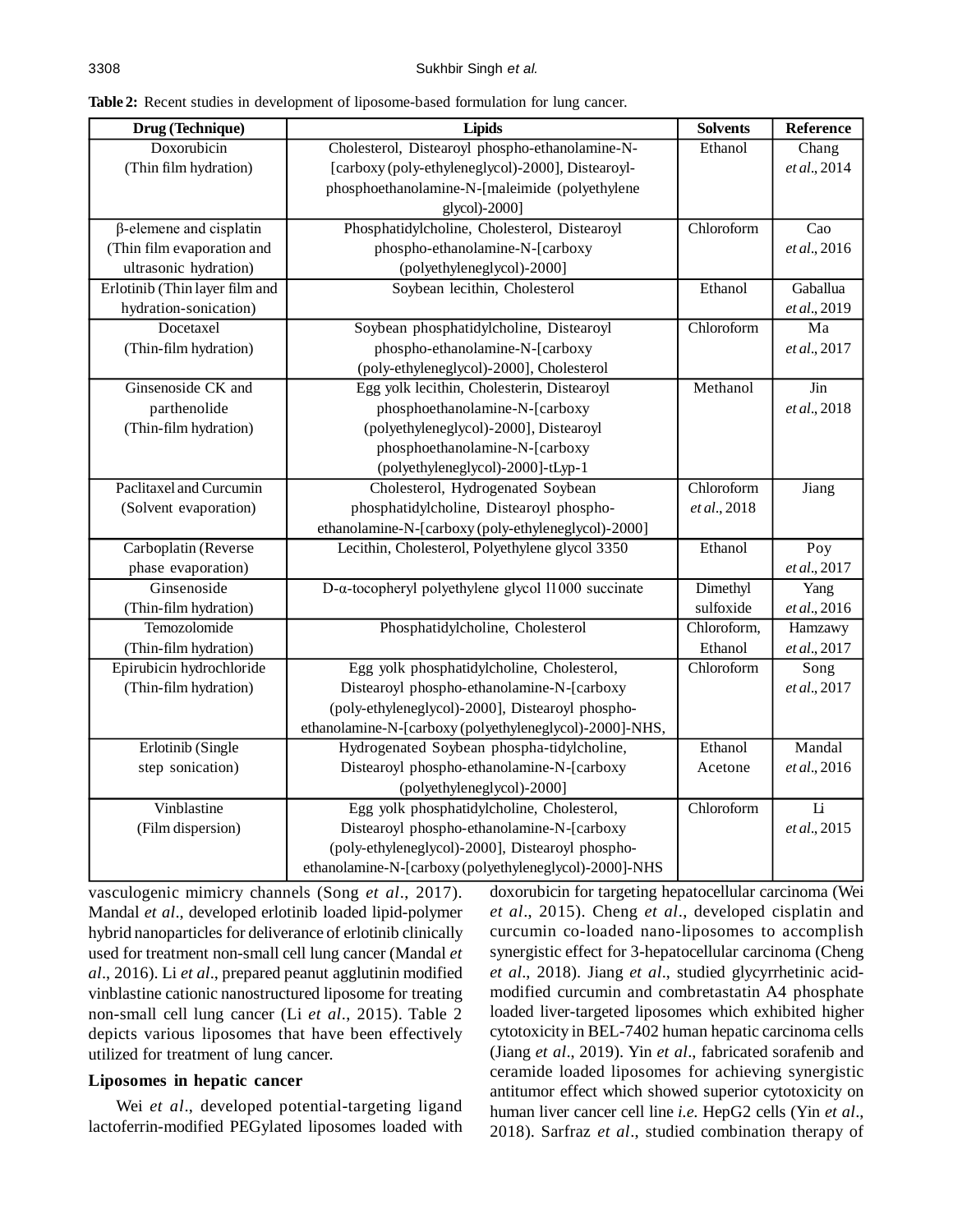**Table 2:** Recent studies in development of liposome-based formulation for lung cancer.

| Drug (Technique)               | Lipids                                                         | <b>Solvents</b> | Reference       |
|--------------------------------|----------------------------------------------------------------|-----------------|-----------------|
| Doxorubicin                    | Cholesterol, Distearoyl phospho-ethanolamine-N-                | Ethanol         | Chang           |
| (Thin film hydration)          | [carboxy (poly-ethyleneglycol)-2000], Distearoyl-              |                 | et al., 2014    |
|                                | phosphoethanolamine-N-[maleimide (polyethylene                 |                 |                 |
|                                | glycol)-2000]                                                  |                 |                 |
| $\beta$ -elemene and cisplatin | Phosphatidylcholine, Cholesterol, Distearoyl                   | Chloroform      | Cao             |
| (Thin film evaporation and     | phospho-ethanolamine-N-[carboxy                                |                 | et al., 2016    |
| ultrasonic hydration)          | (polyethyleneglycol)-2000]                                     |                 |                 |
| Erlotinib (Thin layer film and | Soybean lecithin, Cholesterol                                  | Ethanol         | Gaballua        |
| hydration-sonication)          |                                                                |                 | et al., 2019    |
| Docetaxel                      | Soybean phosphatidylcholine, Distearoyl                        | Chloroform      | Ma              |
| (Thin-film hydration)          | phospho-ethanolamine-N-[carboxy                                |                 | et al., 2017    |
|                                | (poly-ethyleneglycol)-2000], Cholesterol                       |                 |                 |
| Ginsenoside CK and             | Egg yolk lecithin, Cholesterin, Distearoyl                     | Methanol        | Jin             |
| parthenolide                   | phosphoethanolamine-N-[carboxy                                 |                 | et al., 2018    |
| (Thin-film hydration)          | (polyethyleneglycol)-2000], Distearoyl                         |                 |                 |
|                                | phosphoethanolamine-N-[carboxy                                 |                 |                 |
|                                | (polyethyleneglycol)-2000]-tLyp-1                              |                 |                 |
| Paclitaxel and Curcumin        | Cholesterol, Hydrogenated Soybean                              | Chloroform      | Jiang           |
| (Solvent evaporation)          | phosphatidylcholine, Distearoyl phospho-                       | et al., 2018    |                 |
|                                | ethanolamine-N-[carboxy (poly-ethyleneglycol)-2000]            |                 |                 |
| Carboplatin (Reverse           | Lecithin, Cholesterol, Polyethylene glycol 3350                | Ethanol         | Poy             |
| phase evaporation)             |                                                                |                 | et al., 2017    |
| Ginsenoside                    | $D$ - $\alpha$ -tocopheryl polyethylene glycol 11000 succinate | Dimethyl        | Yang            |
| (Thin-film hydration)          |                                                                | sulfoxide       | et al., 2016    |
| Temozolomide                   | Phosphatidylcholine, Cholesterol                               | Chloroform,     | Hamzawy         |
| (Thin-film hydration)          |                                                                | Ethanol         | et al., 2017    |
| Epirubicin hydrochloride       | Egg yolk phosphatidylcholine, Cholesterol,                     | Chloroform      | Song            |
| (Thin-film hydration)          | Distearoyl phospho-ethanolamine-N-[carboxy                     |                 | et al., 2017    |
|                                | (poly-ethyleneglycol)-2000], Distearoyl phospho-               |                 |                 |
|                                | ethanolamine-N-[carboxy (polyethyleneglycol)-2000]-NHS,        |                 |                 |
| Erlotinib (Single              | Hydrogenated Soybean phospha-tidylcholine,                     | Ethanol         | Mandal          |
| step sonication)               | Distearoyl phospho-ethanolamine-N-[carboxy                     | Acetone         | et al., 2016    |
|                                | (polyethyleneglycol)-2000]                                     |                 |                 |
| Vinblastine                    | Egg yolk phosphatidylcholine, Cholesterol,                     | Chloroform      | $\overline{Li}$ |
| (Film dispersion)              | Distearoyl phospho-ethanolamine-N-[carboxy                     |                 | et al., 2015    |
|                                | (poly-ethyleneglycol)-2000], Distearoyl phospho-               |                 |                 |
|                                | ethanolamine-N-[carboxy (polyethyleneglycol)-2000]-NHS         |                 |                 |

vasculogenic mimicry channels (Song *et al*., 2017). Mandal *et al*., developed erlotinib loaded lipid-polymer hybrid nanoparticles for deliverance of erlotinib clinically used for treatment non-small cell lung cancer (Mandal *et al*., 2016). Li *et al*., prepared peanut agglutinin modified vinblastine cationic nanostructured liposome for treating non-small cell lung cancer (Li *et al*., 2015). Table 2 depicts various liposomes that have been effectively utilized for treatment of lung cancer.

#### **Liposomes in hepatic cancer**

Wei *et al*., developed potential-targeting ligand lactoferrin-modified PEGylated liposomes loaded with doxorubicin for targeting hepatocellular carcinoma (Wei *et al*., 2015). Cheng *et al*., developed cisplatin and curcumin co-loaded nano-liposomes to accomplish synergistic effect for 3-hepatocellular carcinoma (Cheng *et al*., 2018). Jiang *et al*., studied glycyrrhetinic acidmodified curcumin and combretastatin A4 phosphate loaded liver-targeted liposomes which exhibited higher cytotoxicity in BEL-7402 human hepatic carcinoma cells (Jiang *et al*., 2019). Yin *et al*., fabricated sorafenib and ceramide loaded liposomes for achieving synergistic antitumor effect which showed superior cytotoxicity on human liver cancer cell line *i.e.* HepG2 cells (Yin *et al*., 2018). Sarfraz *et al*., studied combination therapy of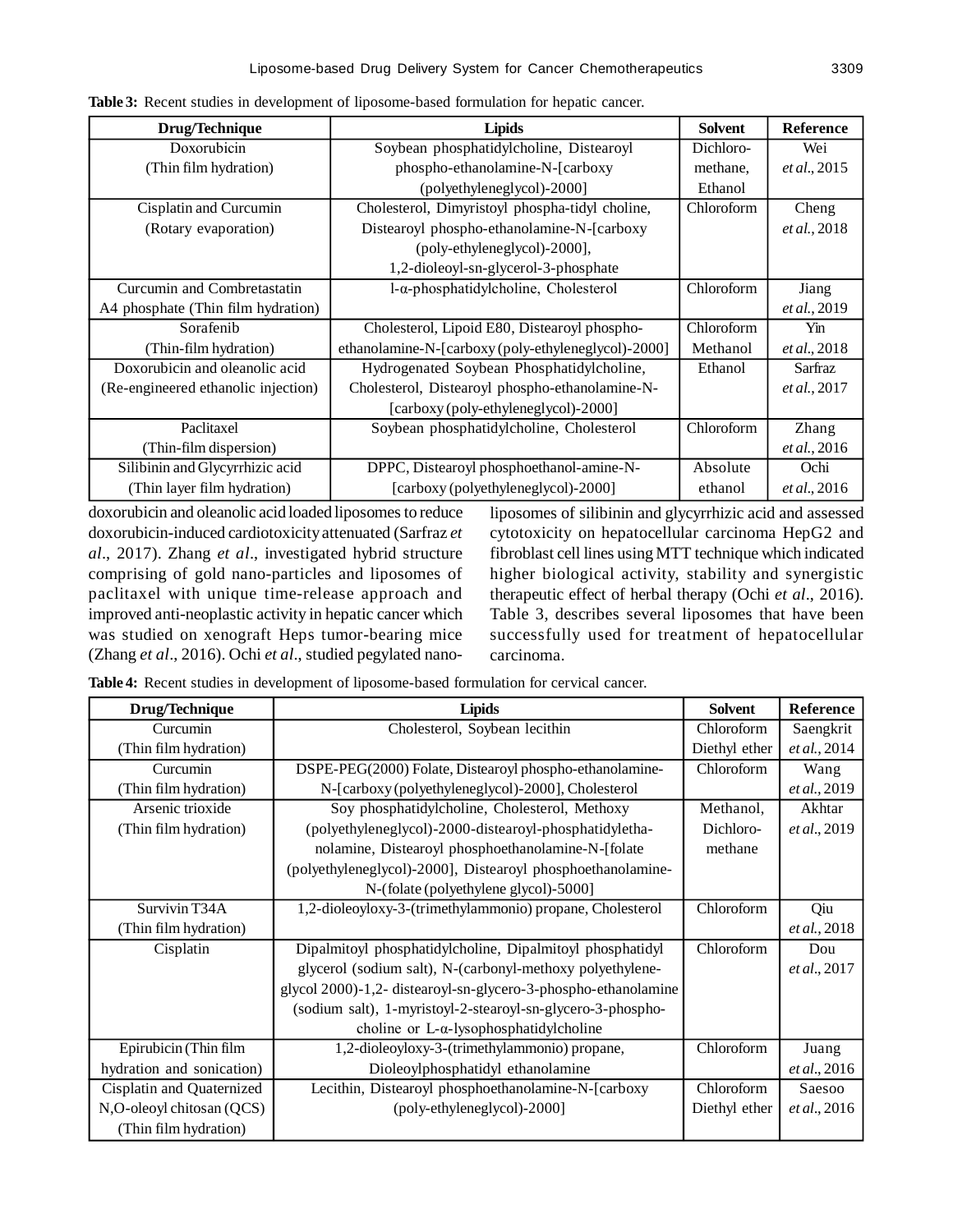| Drug/Technique                      | <b>Lipids</b>                                       | <b>Solvent</b> | <b>Reference</b>     |
|-------------------------------------|-----------------------------------------------------|----------------|----------------------|
| Doxorubicin                         | Soybean phosphatidylcholine, Distearoyl             | Dichloro-      | Wei                  |
| (Thin film hydration)               | phospho-ethanolamine-N-[carboxy                     | methane,       | et al., 2015         |
|                                     | (polyethyleneglycol)-2000]                          | Ethanol        |                      |
| Cisplatin and Curcumin              | Cholesterol, Dimyristoyl phospha-tidyl choline,     | Chloroform     | Cheng                |
| (Rotary evaporation)                | Distearoyl phospho-ethanolamine-N-[carboxy          |                | et al., 2018         |
|                                     | (poly-ethyleneglycol)-2000],                        |                |                      |
|                                     | 1,2-dioleoyl-sn-glycerol-3-phosphate                |                |                      |
| Curcumin and Combretastatin         | $1-\alpha$ -phosphatidylcholine, Cholesterol        | Chloroform     | Jiang                |
| A4 phosphate (Thin film hydration)  |                                                     |                | et al., 2019         |
| Sorafenib                           | Cholesterol, Lipoid E80, Distearoyl phospho-        | Chloroform     | Yin                  |
| (Thin-film hydration)               | ethanolamine-N-[carboxy (poly-ethyleneglycol)-2000] | Methanol       | <i>et al.</i> , 2018 |
| Doxorubicin and oleanolic acid      | Hydrogenated Soybean Phosphatidylcholine,           | Ethanol        | Sarfraz              |
| (Re-engineered ethanolic injection) | Cholesterol, Distearoyl phospho-ethanolamine-N-     |                | et al., 2017         |
|                                     | [carboxy (poly-ethyleneglycol)-2000]                |                |                      |
| Paclitaxel                          | Soybean phosphatidylcholine, Cholesterol            | Chloroform     | Zhang                |
| (Thin-film dispersion)              |                                                     |                | et al., 2016         |
| Silibinin and Glycyrrhizic acid     | DPPC, Distearoyl phosphoethanol-amine-N-            | Absolute       | Ochi                 |
| (Thin layer film hydration)         | [carboxy (polyethyleneglycol)-2000]                 | ethanol        | <i>et al.</i> , 2016 |

**Table 3:** Recent studies in development of liposome-based formulation for hepatic cancer.

doxorubicin and oleanolic acid loaded liposomes to reduce doxorubicin-induced cardiotoxicity attenuated (Sarfraz *et al*., 2017). Zhang *et al*., investigated hybrid structure comprising of gold nano-particles and liposomes of paclitaxel with unique time-release approach and improved anti-neoplastic activity in hepatic cancer which was studied on xenograft Heps tumor-bearing mice (Zhang *et al*., 2016). Ochi *et al*., studied pegylated nano-

liposomes of silibinin and glycyrrhizic acid and assessed cytotoxicity on hepatocellular carcinoma HepG2 and fibroblast cell lines using MTT technique which indicated higher biological activity, stability and synergistic therapeutic effect of herbal therapy (Ochi *et al*., 2016). Table 3, describes several liposomes that have been successfully used for treatment of hepatocellular carcinoma.

**Table 4:** Recent studies in development of liposome-based formulation for cervical cancer.

| Drug/Technique            | <b>Lipids</b>                                                  | <b>Solvent</b> | <b>Reference</b>     |
|---------------------------|----------------------------------------------------------------|----------------|----------------------|
| Curcumin                  | Cholesterol, Soybean lecithin                                  | Chloroform     | Saengkrit            |
| (Thin film hydration)     |                                                                | Diethyl ether  | et al., 2014         |
| Curcumin                  | DSPE-PEG(2000) Folate, Distearoyl phospho-ethanolamine-        | Chloroform     | Wang                 |
| (Thin film hydration)     | N-[carboxy(polyethyleneglycol)-2000], Cholesterol              |                | et al., 2019         |
| Arsenic trioxide          | Soy phosphatidylcholine, Cholesterol, Methoxy                  | Methanol,      | Akhtar               |
| (Thin film hydration)     | (polyethyleneglycol)-2000-distearoyl-phosphatidyletha-         | Dichloro-      | et al., 2019         |
|                           | nolamine, Distearoyl phosphoethanolamine-N-[folate             | methane        |                      |
|                           | (polyethyleneglycol)-2000], Distearoyl phosphoethanolamine-    |                |                      |
|                           | N-(folate (polyethylene glycol)-5000]                          |                |                      |
| Survivin T34A             | 1,2-dioleoyloxy-3-(trimethylammonio) propane, Cholesterol      | Chloroform     | Qiu                  |
| (Thin film hydration)     |                                                                |                | et al., 2018         |
| Cisplatin                 | Dipalmitoyl phosphatidylcholine, Dipalmitoyl phosphatidyl      | Chloroform     | Dou                  |
|                           | glycerol (sodium salt), N-(carbonyl-methoxy polyethylene-      |                | et al., 2017         |
|                           | glycol 2000)-1,2- distearoyl-sn-glycero-3-phospho-ethanolamine |                |                      |
|                           | (sodium salt), 1-myristoyl-2-stearoyl-sn-glycero-3-phospho-    |                |                      |
|                           | choline or $L-\alpha$ -lysophosphatidylcholine                 |                |                      |
| Epirubicin (Thin film     | 1,2-dioleoyloxy-3-(trimethylammonio) propane,                  | Chloroform     | Juang                |
| hydration and sonication) | Dioleoylphosphatidyl ethanolamine                              |                | et al., 2016         |
| Cisplatin and Quaternized | Lecithin, Distearoyl phosphoethanolamine-N-[carboxy            | Chloroform     | Saesoo               |
| N,O-oleoyl chitosan (QCS) | (poly-ethyleneglycol)-2000]                                    | Diethyl ether  | <i>et al.</i> , 2016 |
| (Thin film hydration)     |                                                                |                |                      |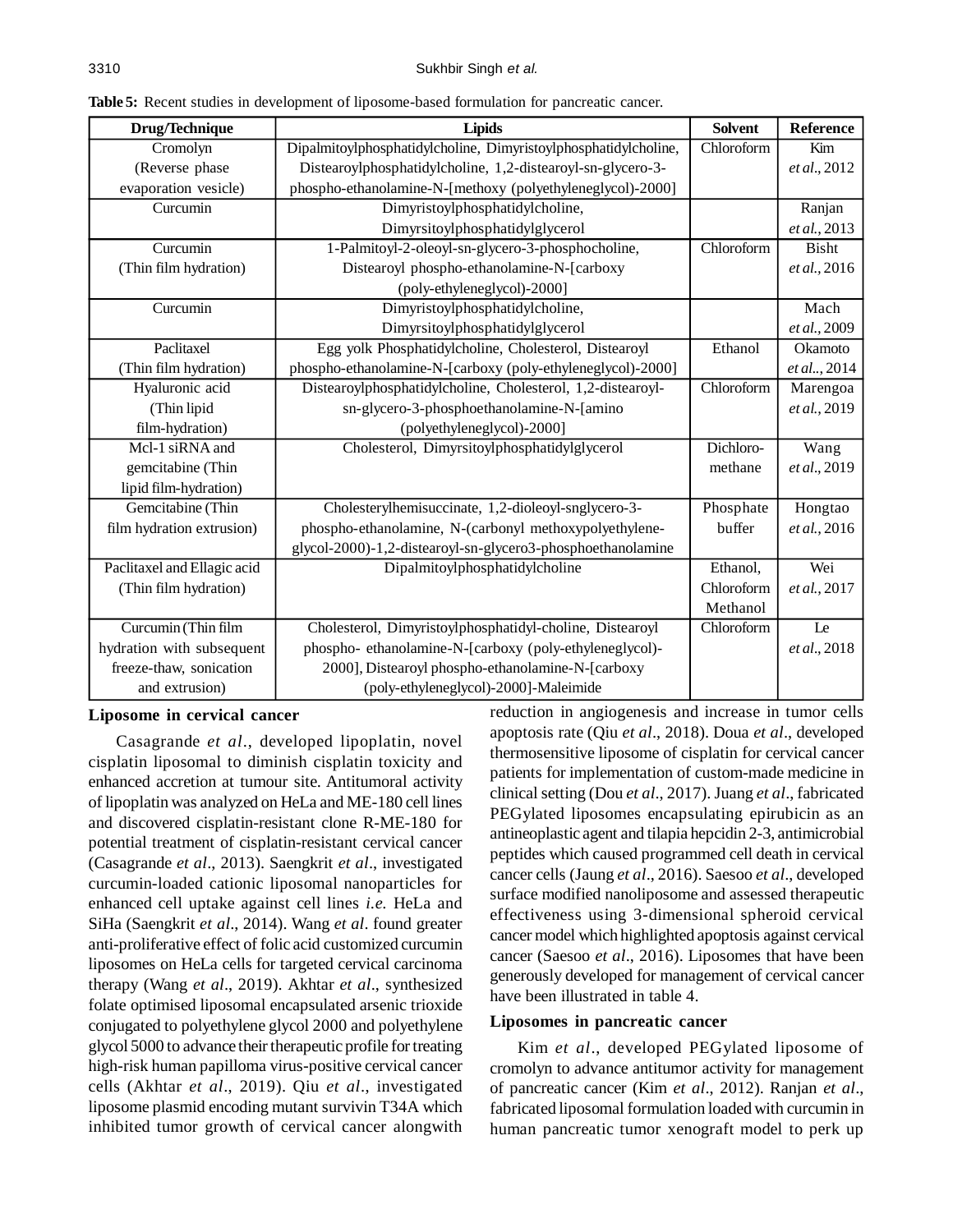| Drug/Technique              | <b>Lipids</b>                                                   | <b>Solvent</b> | <b>Reference</b> |
|-----------------------------|-----------------------------------------------------------------|----------------|------------------|
| Cromolyn                    | Dipalmitoylphosphatidylcholine, Dimyristoylphosphatidylcholine, | Chloroform     | Kim              |
| (Reverse phase              | Distearoylphosphatidylcholine, 1,2-distearoyl-sn-glycero-3-     |                | et al., 2012     |
| evaporation vesicle)        | phospho-ethanolamine-N-[methoxy (polyethyleneglycol)-2000]      |                |                  |
| Curcumin                    | Dimyristoylphosphatidylcholine,                                 |                | Ranjan           |
|                             | Dimyrsitoylphosphatidylglycerol                                 |                | et al., 2013     |
| Curcumin                    | 1-Palmitoyl-2-oleoyl-sn-glycero-3-phosphocholine,               | Chloroform     | <b>Bisht</b>     |
| (Thin film hydration)       | Distearoyl phospho-ethanolamine-N-[carboxy                      |                | et al., 2016     |
|                             | (poly-ethyleneglycol)-2000]                                     |                |                  |
| Curcumin                    | Dimyristoylphosphatidylcholine,                                 |                | Mach             |
|                             | Dimyrsitoylphosphatidylglycerol                                 |                | et al., 2009     |
| Paclitaxel                  | Egg yolk Phosphatidylcholine, Cholesterol, Distearoyl           | Ethanol        | Okamoto          |
| (Thin film hydration)       | phospho-ethanolamine-N-[carboxy (poly-ethyleneglycol)-2000]     |                | et al, 2014      |
| Hyaluronic acid             | Distearoylphosphatidylcholine, Cholesterol, 1,2-distearoyl-     | Chloroform     | Marengoa         |
| (Thin lipid                 | sn-glycero-3-phosphoethanolamine-N-[amino                       |                | et al., 2019     |
| film-hydration)             | (polyethyleneglycol)-2000]                                      |                |                  |
| Mcl-1 siRNA and             | Cholesterol, Dimyrsitoylphosphatidylglycerol                    | Dichloro-      | Wang             |
| gemcitabine (Thin           |                                                                 | methane        | et al., 2019     |
| lipid film-hydration)       |                                                                 |                |                  |
| Gemcitabine (Thin           | Cholesterylhemisuccinate, 1,2-dioleoyl-snglycero-3-             | Phosphate      | Hongtao          |
| film hydration extrusion)   | phospho-ethanolamine, N-(carbonyl methoxypolyethylene-          | buffer         | et al., 2016     |
|                             | glycol-2000)-1,2-distearoyl-sn-glycero3-phosphoethanolamine     |                |                  |
| Paclitaxel and Ellagic acid | Dipalmitoylphosphatidylcholine                                  | Ethanol,       | Wei              |
| (Thin film hydration)       |                                                                 | Chloroform     | et al., 2017     |
|                             |                                                                 | Methanol       |                  |
| Curcumin (Thin film         | Cholesterol, Dimyristoylphosphatidyl-choline, Distearoyl        | Chloroform     | Le               |
| hydration with subsequent   | phospho-ethanolamine-N-[carboxy (poly-ethyleneglycol)-          |                | et al., 2018     |
| freeze-thaw, sonication     | 2000], Distearoyl phospho-ethanolamine-N-[carboxy               |                |                  |
| and extrusion)              | (poly-ethyleneglycol)-2000]-Maleimide                           |                |                  |

**Table 5:** Recent studies in development of liposome-based formulation for pancreatic cancer.

#### **Liposome in cervical cancer**

Casagrande *et al*., developed lipoplatin, novel cisplatin liposomal to diminish cisplatin toxicity and enhanced accretion at tumour site. Antitumoral activity of lipoplatin was analyzed on HeLa and ME-180 cell lines and discovered cisplatin-resistant clone R-ME-180 for potential treatment of cisplatin-resistant cervical cancer (Casagrande *et al*., 2013). Saengkrit *et al*., investigated curcumin-loaded cationic liposomal nanoparticles for enhanced cell uptake against cell lines *i.e.* HeLa and SiHa (Saengkrit *et al*., 2014). Wang *et al*. found greater anti-proliferative effect of folic acid customized curcumin liposomes on HeLa cells for targeted cervical carcinoma therapy (Wang *et al*., 2019). Akhtar *et al*., synthesized folate optimised liposomal encapsulated arsenic trioxide conjugated to polyethylene glycol 2000 and polyethylene glycol 5000 to advance their therapeutic profile for treating high-risk human papilloma virus-positive cervical cancer cells (Akhtar *et al*., 2019). Qiu *et al*., investigated liposome plasmid encoding mutant survivin T34A which inhibited tumor growth of cervical cancer alongwith reduction in angiogenesis and increase in tumor cells apoptosis rate (Qiu *et al*., 2018). Doua *et al*., developed thermosensitive liposome of cisplatin for cervical cancer patients for implementation of custom-made medicine in clinical setting (Dou *et al*., 2017). Juang *et al*., fabricated PEGylated liposomes encapsulating epirubicin as an antineoplastic agent and tilapia hepcidin 2-3, antimicrobial peptides which caused programmed cell death in cervical cancer cells (Jaung *et al*., 2016). Saesoo *et al*., developed surface modified nanoliposome and assessed therapeutic effectiveness using 3-dimensional spheroid cervical cancer model which highlighted apoptosis against cervical cancer (Saesoo *et al*., 2016). Liposomes that have been generously developed for management of cervical cancer have been illustrated in table 4.

#### **Liposomes in pancreatic cancer**

Kim *et al*., developed PEGylated liposome of cromolyn to advance antitumor activity for management of pancreatic cancer (Kim *et al*., 2012). Ranjan *et al*., fabricated liposomal formulation loaded with curcumin in human pancreatic tumor xenograft model to perk up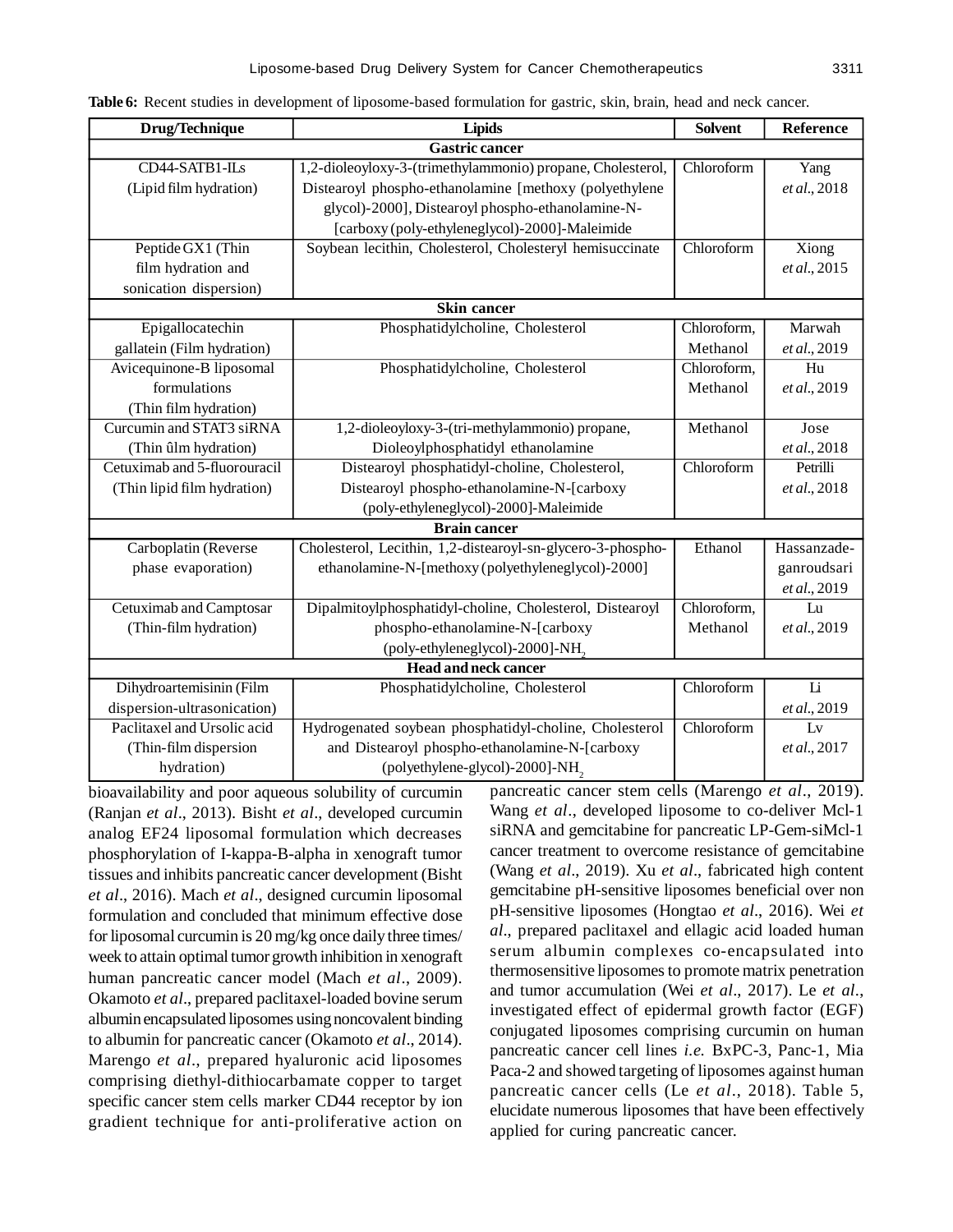| Drug/Technique               | <b>Lipids</b>                                               | <b>Solvent</b> | Reference       |
|------------------------------|-------------------------------------------------------------|----------------|-----------------|
|                              | <b>Gastric cancer</b>                                       |                |                 |
| CD44-SATB1-ILs               | 1,2-dioleoyloxy-3-(trimethylammonio) propane, Cholesterol,  | Chloroform     | Yang            |
| (Lipid film hydration)       | Distearoyl phospho-ethanolamine [methoxy (polyethylene      |                | et al., 2018    |
|                              | glycol)-2000], Distearoyl phospho-ethanolamine-N-           |                |                 |
|                              | [carboxy (poly-ethyleneglycol)-2000]-Maleimide              |                |                 |
| Peptide GX1 (Thin            | Soybean lecithin, Cholesterol, Cholesteryl hemisuccinate    | Chloroform     | Xiong           |
| film hydration and           |                                                             |                | et al., 2015    |
| sonication dispersion)       |                                                             |                |                 |
|                              | <b>Skin cancer</b>                                          |                |                 |
| Epigallocatechin             | Phosphatidylcholine, Cholesterol                            | Chloroform,    | Marwah          |
| gallatein (Film hydration)   |                                                             | Methanol       | et al., 2019    |
| Avicequinone-B liposomal     | Phosphatidylcholine, Cholesterol                            | Chloroform,    | Hu              |
| formulations                 |                                                             | Methanol       | et al., 2019    |
| (Thin film hydration)        |                                                             |                |                 |
| Curcumin and STAT3 siRNA     | 1,2-dioleoyloxy-3-(tri-methylammonio) propane,              | Methanol       | Jose            |
| (Thin ûlm hydration)         | Dioleoylphosphatidyl ethanolamine                           |                | et al., 2018    |
| Cetuximab and 5-fluorouracil | Distearoyl phosphatidyl-choline, Cholesterol,               | Chloroform     | Petrilli        |
| (Thin lipid film hydration)  | Distearoyl phospho-ethanolamine-N-[carboxy                  |                | et al., 2018    |
|                              | (poly-ethyleneglycol)-2000]-Maleimide                       |                |                 |
|                              | <b>Brain cancer</b>                                         |                |                 |
| Carboplatin (Reverse         | Cholesterol, Lecithin, 1,2-distearoyl-sn-glycero-3-phospho- | Ethanol        | Hassanzade-     |
| phase evaporation)           | ethanolamine-N-[methoxy (polyethyleneglycol)-2000]          |                | ganroudsari     |
|                              |                                                             |                | et al., 2019    |
| Cetuximab and Camptosar      | Dipalmitoylphosphatidyl-choline, Cholesterol, Distearoyl    | Chloroform,    | Lu              |
| (Thin-film hydration)        | phospho-ethanolamine-N-[carboxy                             | Methanol       | et al., 2019    |
|                              | (poly-ethyleneglycol)-2000]-NH <sub>2</sub>                 |                |                 |
| <b>Head and neck cancer</b>  |                                                             |                |                 |
| Dihydroartemisinin (Film     | Phosphatidylcholine, Cholesterol                            | Chloroform     | $\overline{Li}$ |
| dispersion-ultrasonication)  |                                                             |                | et al., 2019    |
| Paclitaxel and Ursolic acid  | Hydrogenated soybean phosphatidyl-choline, Cholesterol      | Chloroform     | Lv              |
| (Thin-film dispersion        | and Distearoyl phospho-ethanolamine-N-[carboxy              |                | et al., 2017    |
| hydration)                   | (polyethylene-glycol)-2000]-NH <sub>2</sub>                 |                |                 |

**Table 6:** Recent studies in development of liposome-based formulation for gastric, skin, brain, head and neck cancer.

bioavailability and poor aqueous solubility of curcumin (Ranjan *et al*., 2013). Bisht *et al*., developed curcumin analog EF24 liposomal formulation which decreases phosphorylation of I-kappa-B-alpha in xenograft tumor tissues and inhibits pancreatic cancer development (Bisht *et al*., 2016). Mach *et al*., designed curcumin liposomal formulation and concluded that minimum effective dose for liposomal curcumin is 20 mg/kg once daily three times/ week to attain optimal tumor growth inhibition in xenograft human pancreatic cancer model (Mach *et al*., 2009). Okamoto *et al*., prepared paclitaxel-loaded bovine serum albumin encapsulated liposomes using noncovalent binding to albumin for pancreatic cancer (Okamoto *et al*., 2014). Marengo *et al*., prepared hyaluronic acid liposomes comprising diethyl-dithiocarbamate copper to target specific cancer stem cells marker CD44 receptor by ion gradient technique for anti-proliferative action on

pancreatic cancer stem cells (Marengo *et al*., 2019). Wang *et al*., developed liposome to co-deliver Mcl-1 siRNA and gemcitabine for pancreatic LP-Gem-siMcl-1 cancer treatment to overcome resistance of gemcitabine (Wang *et al*., 2019). Xu *et al*., fabricated high content gemcitabine pH-sensitive liposomes beneficial over non pH-sensitive liposomes (Hongtao *et al*., 2016). Wei *et al*., prepared paclitaxel and ellagic acid loaded human serum albumin complexes co-encapsulated into thermosensitive liposomes to promote matrix penetration and tumor accumulation (Wei *et al*., 2017). Le *et al*., investigated effect of epidermal growth factor (EGF) conjugated liposomes comprising curcumin on human pancreatic cancer cell lines *i.e.* BxPC-3, Panc-1, Mia Paca-2 and showed targeting of liposomes against human pancreatic cancer cells (Le *et al*., 2018). Table 5, elucidate numerous liposomes that have been effectively applied for curing pancreatic cancer.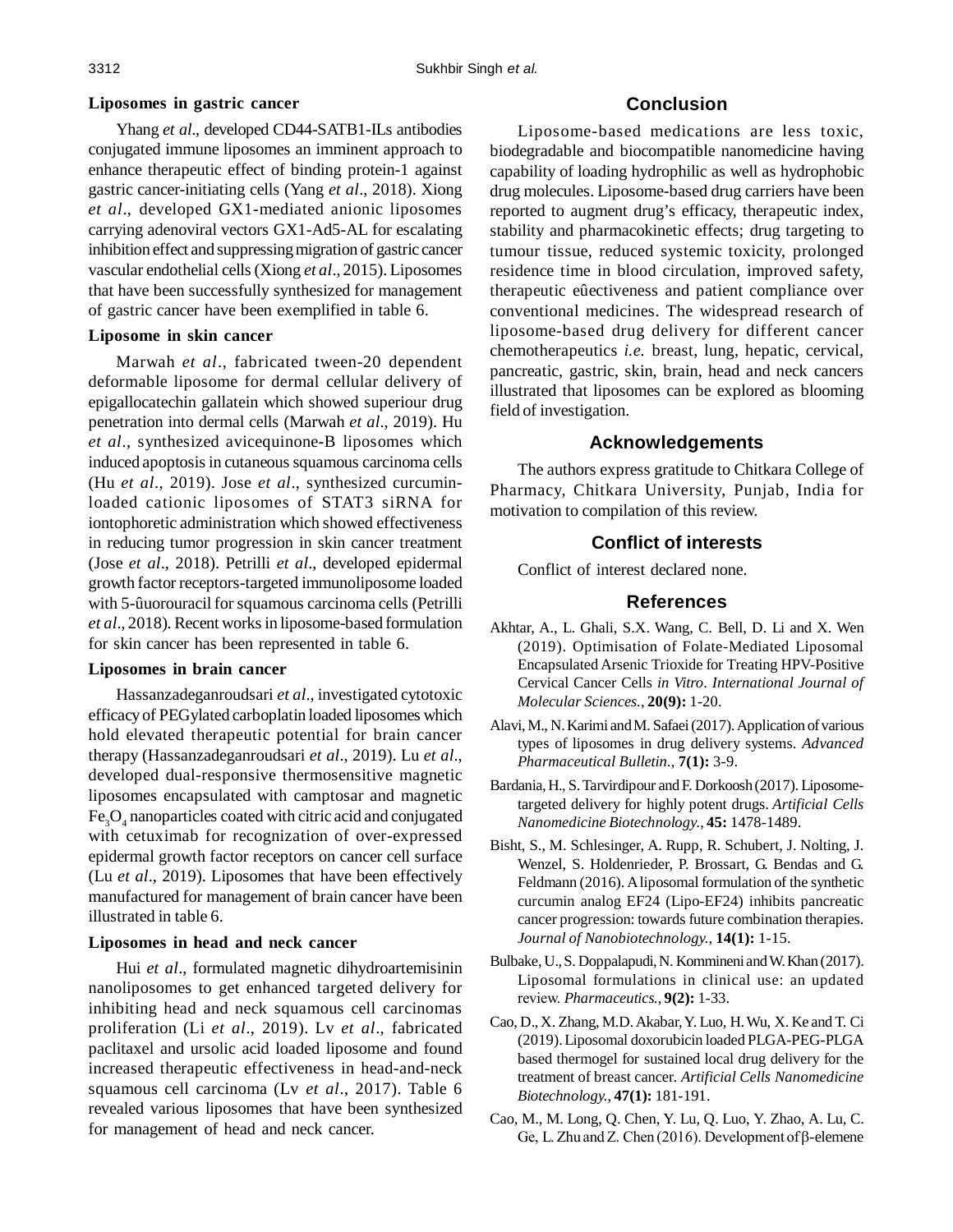Yhang *et al*., developed CD44-SATB1-ILs antibodies conjugated immune liposomes an imminent approach to enhance therapeutic effect of binding protein-1 against gastric cancer-initiating cells (Yang *et al*., 2018). Xiong *et al*., developed GX1-mediated anionic liposomes carrying adenoviral vectors GX1-Ad5-AL for escalating inhibition effect and suppressing migration of gastric cancer vascular endothelial cells (Xiong *et al*., 2015). Liposomes that have been successfully synthesized for management of gastric cancer have been exemplified in table 6.

## **Liposome in skin cancer**

Marwah *et al*., fabricated tween-20 dependent deformable liposome for dermal cellular delivery of epigallocatechin gallatein which showed superiour drug penetration into dermal cells (Marwah *et al*., 2019). Hu *et al*., synthesized avicequinone-B liposomes which induced apoptosis in cutaneous squamous carcinoma cells (Hu *et al*., 2019). Jose *et al*., synthesized curcuminloaded cationic liposomes of STAT3 siRNA for iontophoretic administration which showed effectiveness in reducing tumor progression in skin cancer treatment (Jose *et al*., 2018). Petrilli *et al*., developed epidermal growth factor receptors-targeted immunoliposome loaded with 5-ûuorouracil for squamous carcinoma cells (Petrilli *et al*., 2018). Recent works in liposome-based formulation for skin cancer has been represented in table 6.

## **Liposomes in brain cancer**

Hassanzadeganroudsari *et al*., investigated cytotoxic efficacy of PEGylated carboplatin loaded liposomes which hold elevated therapeutic potential for brain cancer therapy (Hassanzadeganroudsari *et al*., 2019). Lu *et al*., developed dual-responsive thermosensitive magnetic liposomes encapsulated with camptosar and magnetic  $\text{Fe}_{3}\text{O}_{4}$  nanoparticles coated with citric acid and conjugated with cetuximab for recognization of over-expressed epidermal growth factor receptors on cancer cell surface (Lu *et al*., 2019). Liposomes that have been effectively manufactured for management of brain cancer have been illustrated in table 6.

## **Liposomes in head and neck cancer**

Hui *et al*., formulated magnetic dihydroartemisinin nanoliposomes to get enhanced targeted delivery for inhibiting head and neck squamous cell carcinomas proliferation (Li *et al*., 2019). Lv *et al*., fabricated paclitaxel and ursolic acid loaded liposome and found increased therapeutic effectiveness in head-and-neck squamous cell carcinoma (Lv *et al*., 2017). Table 6 revealed various liposomes that have been synthesized for management of head and neck cancer.

# **Conclusion**

Liposome-based medications are less toxic, biodegradable and biocompatible nanomedicine having capability of loading hydrophilic as well as hydrophobic drug molecules. Liposome-based drug carriers have been reported to augment drug's efficacy, therapeutic index, stability and pharmacokinetic effects; drug targeting to tumour tissue, reduced systemic toxicity, prolonged residence time in blood circulation, improved safety, therapeutic eûectiveness and patient compliance over conventional medicines. The widespread research of liposome-based drug delivery for different cancer chemotherapeutics *i.e.* breast, lung, hepatic, cervical, pancreatic, gastric, skin, brain, head and neck cancers illustrated that liposomes can be explored as blooming field of investigation.

# **Acknowledgements**

The authors express gratitude to Chitkara College of Pharmacy, Chitkara University, Punjab, India for motivation to compilation of this review.

# **Conflict of interests**

Conflict of interest declared none.

## **References**

- Akhtar, A., L. Ghali, S.X. Wang, C. Bell, D. Li and X. Wen (2019). Optimisation of Folate-Mediated Liposomal Encapsulated Arsenic Trioxide for Treating HPV-Positive Cervical Cancer Cells *in Vitro*. *International Journal of Molecular Sciences.*, **20(9):** 1-20.
- Alavi, M., N. Karimi and M. Safaei (2017). Application of various types of liposomes in drug delivery systems. *Advanced Pharmaceutical Bulletin.*, **7(1):** 3-9.
- Bardania, H., S. Tarvirdipour and F. Dorkoosh (2017). Liposometargeted delivery for highly potent drugs. *Artificial Cells Nanomedicine Biotechnology.*, **45:** 1478-1489.
- Bisht, S., M. Schlesinger, A. Rupp, R. Schubert, J. Nolting, J. Wenzel, S. Holdenrieder, P. Brossart, G. Bendas and G. Feldmann (2016). A liposomal formulation of the synthetic curcumin analog EF24 (Lipo-EF24) inhibits pancreatic cancer progression: towards future combination therapies. *Journal of Nanobiotechnology.*, **14(1):** 1-15.
- Bulbake, U., S. Doppalapudi, N. Kommineni and W. Khan (2017). Liposomal formulations in clinical use: an updated review. *Pharmaceutics.*, **9(2):** 1-33.
- Cao, D., X. Zhang, M.D. Akabar, Y. Luo, H. Wu, X. Ke and T. Ci (2019).Liposomal doxorubicin loaded PLGA-PEG-PLGA based thermogel for sustained local drug delivery for the treatment of breast cancer. *Artificial Cells Nanomedicine Biotechnology.*, **47(1):** 181-191.
- Cao, M., M. Long, Q. Chen, Y. Lu, Q. Luo, Y. Zhao, A. Lu, C. Ge, L. Zhu and Z. Chen (2016). Development of  $\beta$ -elemene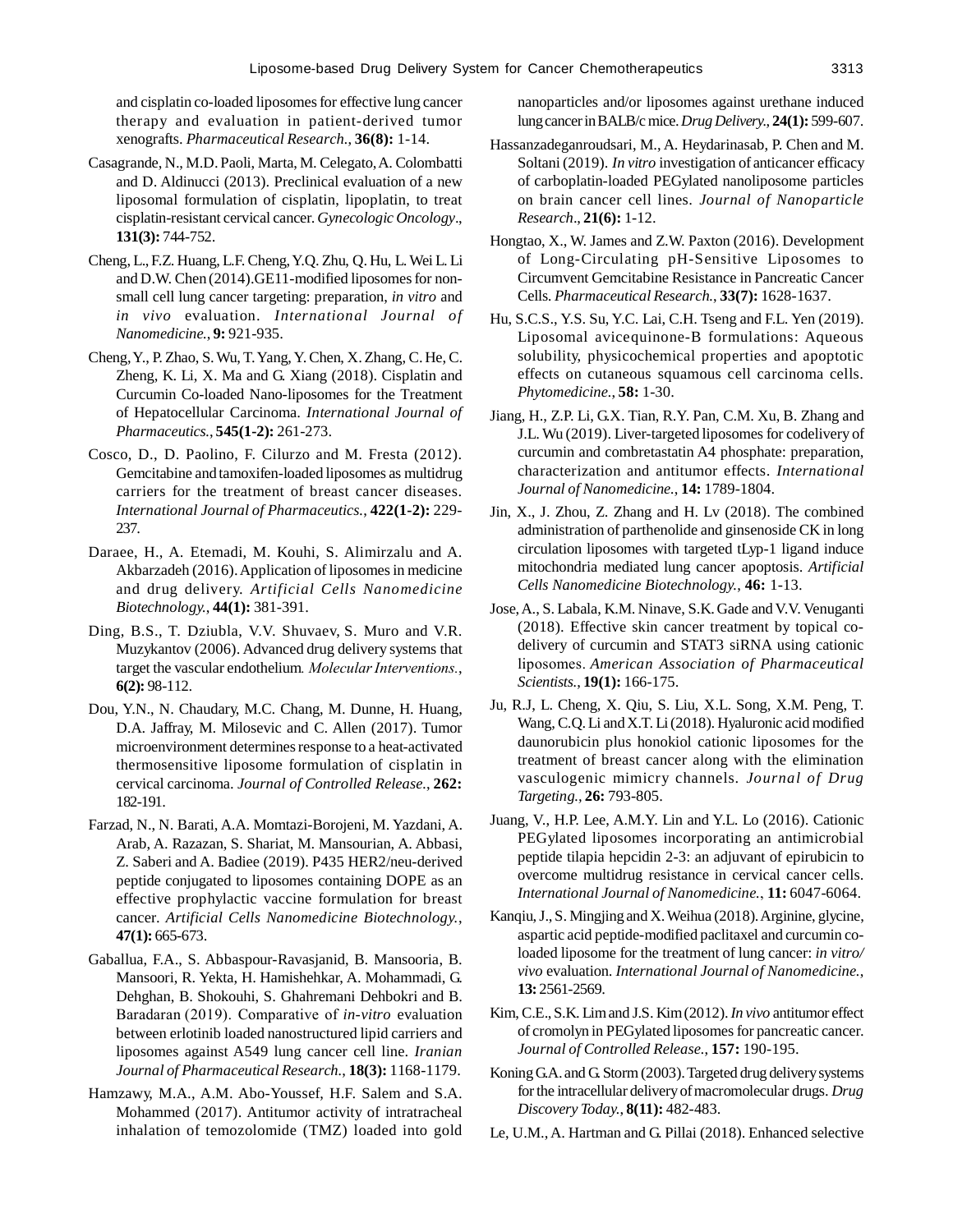and cisplatin co-loaded liposomes for effective lung cancer therapy and evaluation in patient-derived tumor xenografts. *Pharmaceutical Research.*, **36(8):** 1-14.

- Casagrande, N., M.D. Paoli, Marta, M. Celegato, A. Colombatti and D. Aldinucci (2013). Preclinical evaluation of a new liposomal formulation of cisplatin, lipoplatin, to treat cisplatin-resistant cervical cancer. *Gynecologic Oncology*., **131(3):** 744-752.
- Cheng, L., F.Z. Huang, L.F. Cheng, Y.Q. Zhu, Q. Hu, L. Wei L. Li and D.W. Chen (2014).GE11-modified liposomes for nonsmall cell lung cancer targeting: preparation, *in vitro* and *in vivo* evaluation. *International Journal of Nanomedicine.*, **9:** 921-935.
- Cheng, Y., P. Zhao, S. Wu, T. Yang, Y. Chen, X. Zhang, C. He, C. Zheng, K. Li, X. Ma and G. Xiang (2018). Cisplatin and Curcumin Co-loaded Nano-liposomes for the Treatment of Hepatocellular Carcinoma. *International Journal of Pharmaceutics.*, **545(1-2):** 261-273.
- Cosco, D., D. Paolino, F. Cilurzo and M. Fresta (2012). Gemcitabine and tamoxifen-loaded liposomes as multidrug carriers for the treatment of breast cancer diseases. *International Journal of Pharmaceutics.*, **422(1-2):** 229- 237.
- Daraee, H., A. Etemadi, M. Kouhi, S. Alimirzalu and A. Akbarzadeh (2016). Application of liposomes in medicine and drug delivery. *Artificial Cells Nanomedicine Biotechnology.*, **44(1):** 381-391.
- Ding, B.S., T. Dziubla, V.V. Shuvaev, S. Muro and V.R. Muzykantov (2006). Advanced drug delivery systems that target the vascular endothelium*. Molecular Interventions.*, **6(2):** 98-112.
- Dou, Y.N., N. Chaudary, M.C. Chang, M. Dunne, H. Huang, D.A. Jaffray, M. Milosevic and C. Allen (2017). Tumor microenvironment determines response to a heat-activated thermosensitive liposome formulation of cisplatin in cervical carcinoma. *Journal of Controlled Release.*, **262:** 182-191.
- Farzad, N., N. Barati, A.A. Momtazi-Borojeni, M. Yazdani, A. Arab, A. Razazan, S. Shariat, M. Mansourian, A. Abbasi, Z. Saberi and A. Badiee (2019). P435 HER2/neu-derived peptide conjugated to liposomes containing DOPE as an effective prophylactic vaccine formulation for breast cancer. *Artificial Cells Nanomedicine Biotechnology.*, **47(1):** 665-673.
- Gaballua, F.A., S. Abbaspour-Ravasjanid, B. Mansooria, B. Mansoori, R. Yekta, H. Hamishehkar, A. Mohammadi, G. Dehghan, B. Shokouhi, S. Ghahremani Dehbokri and B. Baradaran (2019). Comparative of *in-vitro* evaluation between erlotinib loaded nanostructured lipid carriers and liposomes against A549 lung cancer cell line. *Iranian Journal of Pharmaceutical Research.*, **18(3):** 1168-1179.
- Hamzawy, M.A., A.M. Abo-Youssef, H.F. Salem and S.A. Mohammed (2017). Antitumor activity of intratracheal inhalation of temozolomide (TMZ) loaded into gold

nanoparticles and/or liposomes against urethane induced lung cancer in BALB/c mice. *Drug Delivery.*, **24(1):** 599-607.

- Hassanzadeganroudsari, M., A. Heydarinasab, P. Chen and M. Soltani (2019). *In vitro* investigation of anticancer efficacy of carboplatin-loaded PEGylated nanoliposome particles on brain cancer cell lines. *Journal of Nanoparticle Research*., **21(6):** 1-12.
- Hongtao, X., W. James and Z.W. Paxton (2016). Development of Long-Circulating pH-Sensitive Liposomes to Circumvent Gemcitabine Resistance in Pancreatic Cancer Cells*. Pharmaceutical Research.*, **33(7):** 1628-1637.
- Hu, S.C.S., Y.S. Su, Y.C. Lai, C.H. Tseng and F.L. Yen (2019). Liposomal avicequinone-B formulations: Aqueous solubility, physicochemical properties and apoptotic effects on cutaneous squamous cell carcinoma cells. *Phytomedicine.*, **58:** 1-30.
- Jiang, H., Z.P. Li, G.X. Tian, R.Y. Pan, C.M. Xu, B. Zhang and J.L. Wu (2019). Liver-targeted liposomes for codelivery of curcumin and combretastatin A4 phosphate: preparation, characterization and antitumor effects. *International Journal of Nanomedicine.*, **14:** 1789-1804.
- Jin, X., J. Zhou, Z. Zhang and H. Lv (2018). The combined administration of parthenolide and ginsenoside CK in long circulation liposomes with targeted tLyp-1 ligand induce mitochondria mediated lung cancer apoptosis. *Artificial Cells Nanomedicine Biotechnology.*, **46:** 1-13.
- Jose, A., S. Labala, K.M. Ninave, S.K. Gade and V.V. Venuganti (2018). Effective skin cancer treatment by topical codelivery of curcumin and STAT3 siRNA using cationic liposomes. *American Association of Pharmaceutical Scientists.*, **19(1):** 166-175.
- Ju, R.J, L. Cheng, X. Qiu, S. Liu, X.L. Song, X.M. Peng, T. Wang, C.Q. Li and X.T. Li (2018). Hyaluronic acid modified daunorubicin plus honokiol cationic liposomes for the treatment of breast cancer along with the elimination vasculogenic mimicry channels. *Journal of Drug Targeting.,* **26:** 793-805.
- Juang, V., H.P. Lee, A.M.Y. Lin and Y.L. Lo (2016). Cationic PEGylated liposomes incorporating an antimicrobial peptide tilapia hepcidin 2-3: an adjuvant of epirubicin to overcome multidrug resistance in cervical cancer cells. *International Journal of Nanomedicine.*, **11:** 6047-6064.
- Kanqiu, J., S. Mingjing and X. Weihua (2018). Arginine, glycine, aspartic acid peptide-modified paclitaxel and curcumin coloaded liposome for the treatment of lung cancer: *in vitro/ vivo* evaluation. *International Journal of Nanomedicine.*, **13:** 2561-2569.
- Kim, C.E., S.K. Lim and J.S. Kim (2012). *In vivo* antitumor effect of cromolyn in PEGylated liposomes for pancreatic cancer. *Journal of Controlled Release.*, **157:** 190-195.
- Koning G.A. and G. Storm (2003). Targeted drug delivery systems for the intracellular delivery of macromolecular drugs. *Drug Discovery Today.*, **8(11):** 482-483.
- Le, U.M., A. Hartman and G. Pillai (2018). Enhanced selective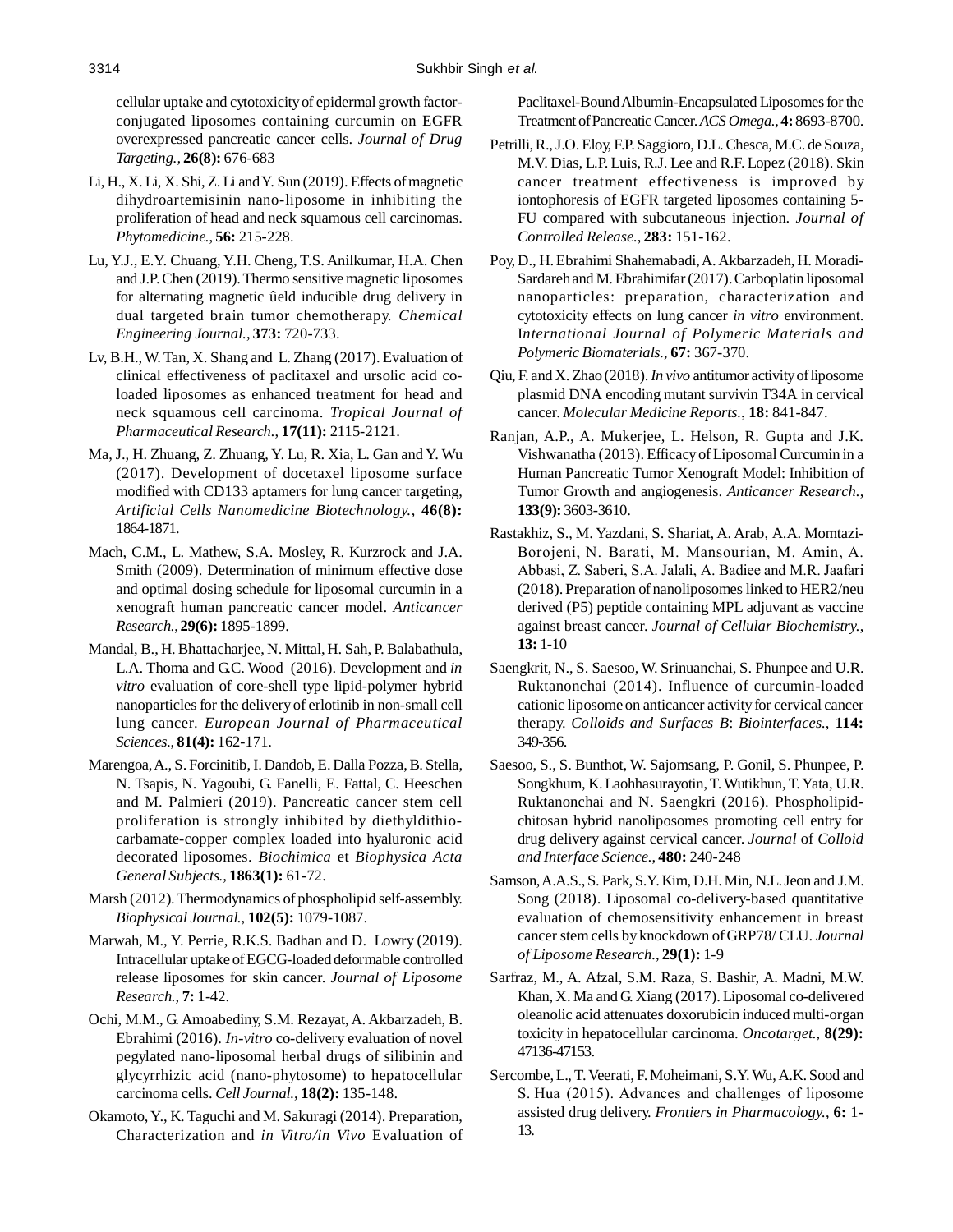cellular uptake and cytotoxicity of epidermal growth factorconjugated liposomes containing curcumin on EGFR overexpressed pancreatic cancer cells. *Journal of Drug Targeting.,* **26(8):** 676-683

- Li, H., X. Li, X. Shi, Z. Li and Y. Sun (2019). Effects of magnetic dihydroartemisinin nano-liposome in inhibiting the proliferation of head and neck squamous cell carcinomas. *Phytomedicine.*, **56:** 215-228.
- Lu, Y.J., E.Y. Chuang, Y.H. Cheng, T.S. Anilkumar, H.A. Chen and J.P. Chen (2019). Thermo sensitive magnetic liposomes for alternating magnetic ûeld inducible drug delivery in dual targeted brain tumor chemotherapy. *Chemical Engineering Journal.*, **373:** 720-733.
- Lv, B.H., W. Tan, X. Shang and L. Zhang (2017). Evaluation of clinical effectiveness of paclitaxel and ursolic acid coloaded liposomes as enhanced treatment for head and neck squamous cell carcinoma. *Tropical Journal of Pharmaceutical Research.*, **17(11):** 2115-2121.
- Ma, J., H. Zhuang, Z. Zhuang, Y. Lu, R. Xia, L. Gan and Y. Wu (2017). Development of docetaxel liposome surface modified with CD133 aptamers for lung cancer targeting, *Artificial Cells Nanomedicine Biotechnology.*, **46(8):** 1864-1871.
- Mach, C.M., L. Mathew, S.A. Mosley, R. Kurzrock and J.A. Smith (2009). Determination of minimum effective dose and optimal dosing schedule for liposomal curcumin in a xenograft human pancreatic cancer model. *Anticancer Research.*, **29(6):** 1895-1899.
- Mandal, B., H. Bhattacharjee, N. Mittal, H. Sah, P. Balabathula, L.A. Thoma and G.C. Wood (2016). Development and *in vitro* evaluation of core-shell type lipid-polymer hybrid nanoparticles for the delivery of erlotinib in non-small cell lung cancer. *European Journal of Pharmaceutical Sciences.*, **81(4):** 162-171.
- Marengoa, A., S. Forcinitib, I. Dandob, E. Dalla Pozza, B. Stella, N. Tsapis, N. Yagoubi, G. Fanelli, E. Fattal, C. Heeschen and M. Palmieri (2019). Pancreatic cancer stem cell proliferation is strongly inhibited by diethyldithiocarbamate-copper complex loaded into hyaluronic acid decorated liposomes. *Biochimica* et *Biophysica Acta General Subjects.,* **1863(1):** 61-72.
- Marsh (2012). Thermodynamics of phospholipid self-assembly. *Biophysical Journal.*, **102(5):** 1079-1087.
- Marwah, M., Y. Perrie, R.K.S. Badhan and D. Lowry (2019). Intracellular uptake of EGCG-loaded deformable controlled release liposomes for skin cancer. *Journal of Liposome Research.*, **7:** 1-42.
- Ochi, M.M., G. Amoabediny, S.M. Rezayat, A. Akbarzadeh, B. Ebrahimi (2016). *In-vitro* co-delivery evaluation of novel pegylated nano-liposomal herbal drugs of silibinin and glycyrrhizic acid (nano-phytosome) to hepatocellular carcinoma cells. *Cell Journal.*, **18(2):** 135-148.
- Okamoto, Y., K. Taguchi and M. Sakuragi (2014). Preparation, Characterization and *in Vitro/in Vivo* Evaluation of

Paclitaxel-Bound Albumin-Encapsulated Liposomes for the Treatment of Pancreatic Cancer. *ACS Omega.,* **4:** 8693-8700.

- Petrilli, R., J.O. Eloy, F.P. Saggioro, D.L. Chesca, M.C. de Souza, M.V. Dias, L.P. Luis, R.J. Lee and R.F. Lopez (2018). Skin cancer treatment effectiveness is improved by iontophoresis of EGFR targeted liposomes containing 5- FU compared with subcutaneous injection. *Journal of Controlled Release.*, **283:** 151-162.
- Poy, D., H. Ebrahimi Shahemabadi, A. Akbarzadeh, H. Moradi-Sardareh and M. Ebrahimifar (2017). Carboplatin liposomal nanoparticles: preparation, characterization and cytotoxicity effects on lung cancer *in vitro* environment. I*nternational Journal of Polymeric Materials and Polymeric Biomaterials.*, **67:** 367-370.
- Qiu, F. and X. Zhao (2018). *In vivo* antitumor activity of liposome plasmid DNA encoding mutant survivin T34A in cervical cancer. *Molecular Medicine Reports.*, **18:** 841-847.
- Ranjan, A.P., A. Mukerjee, L. Helson, R. Gupta and J.K. Vishwanatha (2013). Efficacy of Liposomal Curcumin in a Human Pancreatic Tumor Xenograft Model: Inhibition of Tumor Growth and angiogenesis. *Anticancer Research.*, **133(9):** 3603-3610.
- Rastakhiz, S., M. Yazdani, S. Shariat, A. Arab, A.A. Momtazi-Borojeni, N. Barati, M. Mansourian, M. Amin, A. Abbasi, Z. Saberi, S.A. Jalali, A. Badiee and M.R. Jaafari (2018). Preparation of nanoliposomes linked to HER2/neu derived (P5) peptide containing MPL adjuvant as vaccine against breast cancer. *Journal of Cellular Biochemistry.*, **13:** 1-10
- Saengkrit, N., S. Saesoo, W. Srinuanchai, S. Phunpee and U.R. Ruktanonchai (2014). Influence of curcumin-loaded cationic liposome on anticancer activity for cervical cancer therapy. *Colloids and Surfaces B*: *Biointerfaces.,* **114:** 349-356.
- Saesoo, S., S. Bunthot, W. Sajomsang, P. Gonil, S. Phunpee, P. Songkhum, K. Laohhasurayotin, T. Wutikhun, T. Yata, U.R. Ruktanonchai and N. Saengkri (2016). Phospholipidchitosan hybrid nanoliposomes promoting cell entry for drug delivery against cervical cancer. *Journal* of *Colloid and Interface Science.*, **480:** 240-248
- Samson, A.A.S., S. Park, S.Y. Kim, D.H. Min, N.L. Jeon and J.M. Song (2018). Liposomal co-delivery-based quantitative evaluation of chemosensitivity enhancement in breast cancer stem cells by knockdown of GRP78/ CLU. *Journal of Liposome Research.*, **29(1):** 1-9
- Sarfraz, M., A. Afzal, S.M. Raza, S. Bashir, A. Madni, M.W. Khan, X. Ma and G. Xiang (2017). Liposomal co-delivered oleanolic acid attenuates doxorubicin induced multi-organ toxicity in hepatocellular carcinoma. *Oncotarget.,* **8(29):** 47136-47153.
- Sercombe, L., T. Veerati, F. Moheimani, S.Y. Wu, A.K. Sood and S. Hua (2015). Advances and challenges of liposome assisted drug delivery. *Frontiers in Pharmacology.*, **6:** 1- 13.